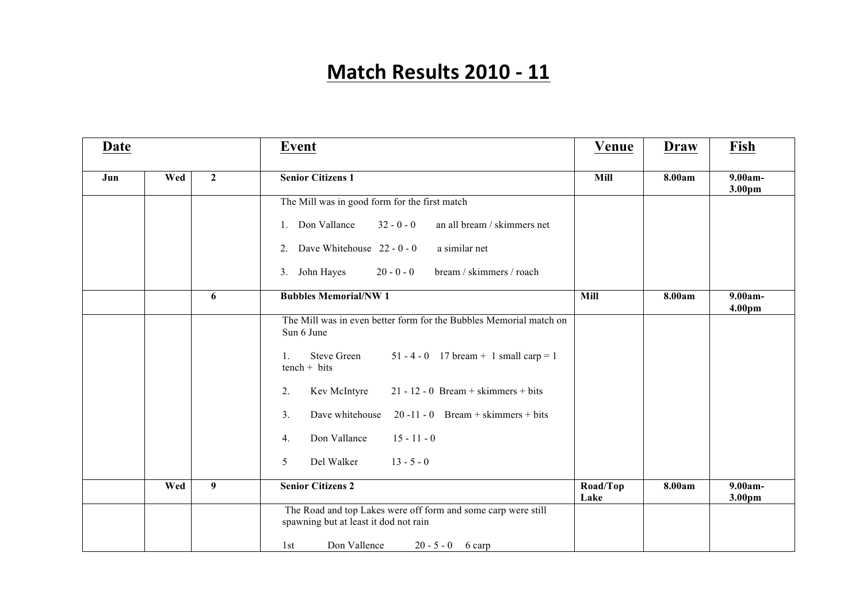## **Match Results 2010 - 11**

| Date |     |                | <b>Event</b>                                                                                           | Venue            | <b>Draw</b> | Fish              |
|------|-----|----------------|--------------------------------------------------------------------------------------------------------|------------------|-------------|-------------------|
| Jun  | Wed | $\overline{2}$ | <b>Senior Citizens 1</b>                                                                               | Mill             | 8.00am      | 9.00am-<br>3.00pm |
|      |     |                | The Mill was in good form for the first match                                                          |                  |             |                   |
|      |     |                | 1. Don Vallance<br>$32 - 0 - 0$<br>an all bream / skimmers net                                         |                  |             |                   |
|      |     |                | Dave Whitehouse $22 - 0 - 0$<br>a similar net<br>2.                                                    |                  |             |                   |
|      |     |                | $20 - 0 - 0$<br>3. John Hayes<br>bream / skimmers / roach                                              |                  |             |                   |
|      |     | 6              | <b>Bubbles Memorial/NW 1</b>                                                                           | <b>Mill</b>      | 8.00am      | 9.00am-<br>4.00pm |
|      |     |                | The Mill was in even better form for the Bubbles Memorial match on<br>Sun 6 June                       |                  |             |                   |
|      |     |                | 51 - 4 - 0 17 bream + 1 small carp = 1<br><b>Steve Green</b><br>1.<br>$tench + bits$                   |                  |             |                   |
|      |     |                | $21 - 12 - 0$ Bream + skimmers + bits<br>Kev McIntyre<br>2.                                            |                  |             |                   |
|      |     |                | $20 - 11 - 0$ Bream + skimmers + bits<br>3.<br>Dave whitehouse                                         |                  |             |                   |
|      |     |                | Don Vallance<br>$15 - 11 - 0$<br>4.                                                                    |                  |             |                   |
|      |     |                | $13 - 5 - 0$<br>Del Walker<br>5                                                                        |                  |             |                   |
|      | Wed | $\overline{9}$ | <b>Senior Citizens 2</b>                                                                               | Road/Top<br>Lake | 8.00am      | 9.00am-<br>3.00pm |
|      |     |                | The Road and top Lakes were off form and some carp were still<br>spawning but at least it dod not rain |                  |             |                   |
|      |     |                | Don Vallence<br>$20 - 5 - 0$ 6 carp<br>1st                                                             |                  |             |                   |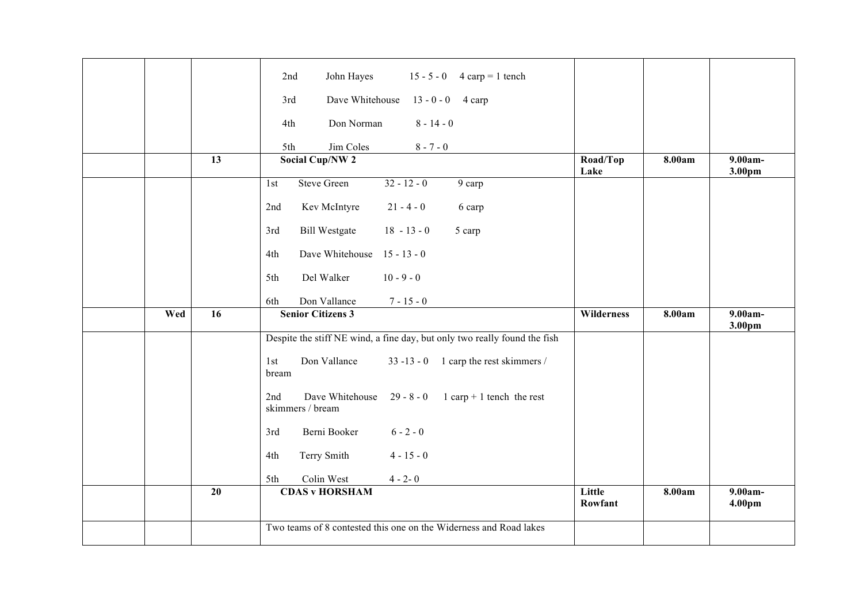|     |    | John Hayes<br>$15 - 5 - 0$<br>2nd<br>$4 \text{ carp} = 1 \text{ tench}$                   |                   |        |                               |
|-----|----|-------------------------------------------------------------------------------------------|-------------------|--------|-------------------------------|
|     |    | Dave Whitehouse<br>3rd<br>$13 - 0 - 0$<br>4 carp                                          |                   |        |                               |
|     |    | Don Norman<br>$8 - 14 - 0$<br>4th                                                         |                   |        |                               |
|     |    | Jim Coles<br>$8 - 7 - 0$<br>5th                                                           |                   |        |                               |
|     | 13 | <b>Social Cup/NW 2</b>                                                                    | Road/Top          | 8.00am | $9.00am -$                    |
|     |    |                                                                                           | Lake              |        | 3.00pm                        |
|     |    | <b>Steve Green</b><br>$32 - 12 - 0$<br>9 carp<br>1st                                      |                   |        |                               |
|     |    | Kev McIntyre<br>$21 - 4 - 0$<br>2nd<br>6 carp                                             |                   |        |                               |
|     |    | <b>Bill Westgate</b><br>$18 - 13 - 0$<br>3rd<br>5 carp                                    |                   |        |                               |
|     |    | Dave Whitehouse 15 - 13 - 0<br>4th                                                        |                   |        |                               |
|     |    | Del Walker<br>$10 - 9 - 0$<br>5th                                                         |                   |        |                               |
|     |    | Don Vallance<br>$7 - 15 - 0$<br>6th                                                       |                   |        |                               |
|     |    |                                                                                           |                   | 8.00am | 9.00am-                       |
| Wed | 16 | <b>Senior Citizens 3</b>                                                                  | Wilderness        |        |                               |
|     |    | Despite the stiff NE wind, a fine day, but only two really found the fish                 |                   |        | 3.00pm                        |
|     |    | Don Vallance<br>33 -13 - 0 $\,$ 1 carp the rest skimmers /<br>1st<br>bream                |                   |        |                               |
|     |    | Dave Whitehouse<br>$29 - 8 - 0$<br>$1$ carp + 1 tench the rest<br>2nd<br>skimmers / bream |                   |        |                               |
|     |    | $6 - 2 - 0$<br>Berni Booker<br>3rd                                                        |                   |        |                               |
|     |    | Terry Smith<br>$4 - 15 - 0$<br>4th                                                        |                   |        |                               |
|     |    | 5th<br>Colin West<br>$4 - 2 - 0$                                                          |                   |        |                               |
|     | 20 | <b>CDAS v HORSHAM</b>                                                                     | Little<br>Rowfant | 8.00am | 9.00am-<br>4.00 <sub>pm</sub> |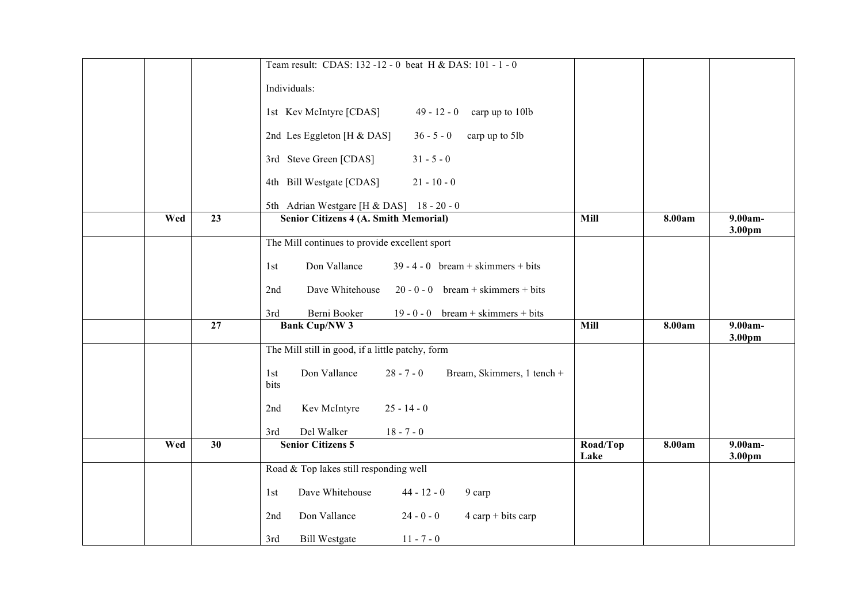|     |                 | Team result: CDAS: 132 -12 - 0 beat H & DAS: 101 - 1 - 0                  |                  |        |                                 |
|-----|-----------------|---------------------------------------------------------------------------|------------------|--------|---------------------------------|
|     |                 | Individuals:                                                              |                  |        |                                 |
|     |                 | 1st Kev McIntyre [CDAS]<br>$49 - 12 - 0$<br>carp up to 10lb               |                  |        |                                 |
|     |                 | 2nd Les Eggleton [H & DAS]<br>$36 - 5 - 0$<br>carp up to 5lb              |                  |        |                                 |
|     |                 | 3rd Steve Green [CDAS]<br>$31 - 5 - 0$                                    |                  |        |                                 |
|     |                 | 4th Bill Westgate [CDAS]<br>$21 - 10 - 0$                                 |                  |        |                                 |
|     |                 | 5th Adrian Westgare [H & DAS] 18 - 20 - 0                                 |                  |        |                                 |
| Wed | $\overline{23}$ | <b>Senior Citizens 4 (A. Smith Memorial)</b>                              | Mill             | 8.00am | 9.00am-<br>3.00pm               |
|     |                 | The Mill continues to provide excellent sport                             |                  |        |                                 |
|     |                 | Don Vallance<br>$39 - 4 - 0$ bream + skimmers + bits<br>1st               |                  |        |                                 |
|     |                 | Dave Whitehouse<br>$20 - 0 - 0$ bream + skimmers + bits<br>2nd            |                  |        |                                 |
|     |                 | Berni Booker<br>19 - 0 - 0 bream + skimmers + bits<br>3rd                 |                  |        |                                 |
|     | 27              | <b>Bank Cup/NW 3</b>                                                      | <b>Mill</b>      | 8.00am | $\overline{9.00}$ am-<br>3.00pm |
|     |                 | The Mill still in good, if a little patchy, form                          |                  |        |                                 |
|     |                 | Don Vallance<br>$28 - 7 - 0$<br>Bream, Skimmers, 1 tench +<br>1st<br>bits |                  |        |                                 |
|     |                 | $25 - 14 - 0$<br>Kev McIntyre<br>2nd                                      |                  |        |                                 |
|     |                 | Del Walker<br>$18 - 7 - 0$<br>3rd                                         |                  |        |                                 |
| Wed | 30              | <b>Senior Citizens 5</b>                                                  | Road/Top<br>Lake | 8.00am | 9.00am-<br>3.00pm               |
|     |                 | Road & Top lakes still responding well                                    |                  |        |                                 |
|     |                 | Dave Whitehouse<br>$44 - 12 - 0$<br>9 carp<br>1st                         |                  |        |                                 |
|     |                 | Don Vallance<br>$24 - 0 - 0$<br>$4$ carp + bits carp<br>2nd               |                  |        |                                 |
|     |                 | 3rd<br><b>Bill Westgate</b><br>$11 - 7 - 0$                               |                  |        |                                 |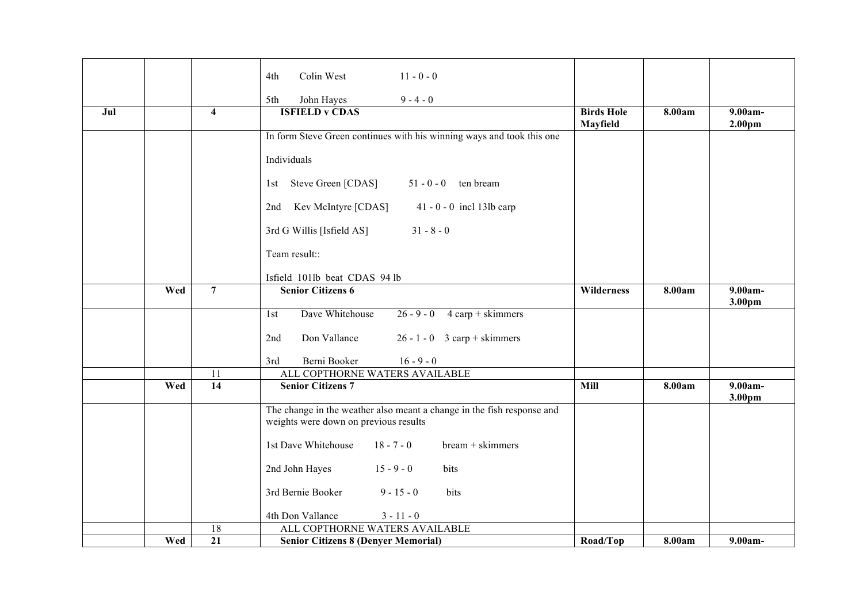|     |     |                         | $11 - 0 - 0$<br>Colin West<br>4th                                      |                   |        |                    |
|-----|-----|-------------------------|------------------------------------------------------------------------|-------------------|--------|--------------------|
|     |     |                         | John Hayes<br>$9 - 4 - 0$<br>5th                                       |                   |        |                    |
| Jul |     | $\overline{\mathbf{4}}$ | <b>ISFIELD v CDAS</b>                                                  | <b>Birds Hole</b> | 8.00am | $9.00am -$         |
|     |     |                         | In form Steve Green continues with his winning ways and took this one  | Mayfield          |        | 2.00 <sub>pm</sub> |
|     |     |                         |                                                                        |                   |        |                    |
|     |     |                         | Individuals                                                            |                   |        |                    |
|     |     |                         | 1st Steve Green [CDAS]<br>$51 - 0 - 0$ ten bream                       |                   |        |                    |
|     |     |                         | Kev McIntyre [CDAS]<br>$41 - 0 - 0$ incl 13lb carp<br>2nd              |                   |        |                    |
|     |     |                         | 3rd G Willis [Isfield AS]<br>$31 - 8 - 0$                              |                   |        |                    |
|     |     |                         | Team result::                                                          |                   |        |                    |
|     |     |                         | Isfield 101lb beat CDAS 94 lb                                          |                   |        |                    |
|     | Wed | $\overline{7}$          | <b>Senior Citizens 6</b>                                               | Wilderness        | 8.00am | 9.00am-            |
|     |     |                         |                                                                        |                   |        | 3.00pm             |
|     |     |                         | Dave Whitehouse<br>$26 - 9 - 0$<br>$4$ carp + skimmers<br>1st          |                   |        |                    |
|     |     |                         | Don Vallance<br>$26 - 1 - 0$ 3 carp + skimmers<br>2nd                  |                   |        |                    |
|     |     |                         | Berni Booker<br>3rd<br>$16 - 9 - 0$                                    |                   |        |                    |
|     |     | 11                      | ALL COPTHORNE WATERS AVAILABLE                                         |                   |        |                    |
|     | Wed | $\overline{14}$         | <b>Senior Citizens 7</b>                                               | <b>Mill</b>       | 8.00am | 9.00am-<br>3.00pm  |
|     |     |                         | The change in the weather also meant a change in the fish response and |                   |        |                    |
|     |     |                         | weights were down on previous results                                  |                   |        |                    |
|     |     |                         | 1st Dave Whitehouse<br>$18 - 7 - 0$<br>$bream +$ skimmers              |                   |        |                    |
|     |     |                         | 2nd John Hayes<br>$15 - 9 - 0$<br>bits                                 |                   |        |                    |
|     |     |                         | 3rd Bernie Booker<br>$9 - 15 - 0$<br>bits                              |                   |        |                    |
|     |     |                         | 4th Don Vallance<br>$3 - 11 - 0$                                       |                   |        |                    |
|     |     | 18                      | ALL COPTHORNE WATERS AVAILABLE                                         |                   |        |                    |
|     | Wed | $\overline{21}$         | <b>Senior Citizens 8 (Denyer Memorial)</b>                             | Road/Top          | 8.00am | $9.00am -$         |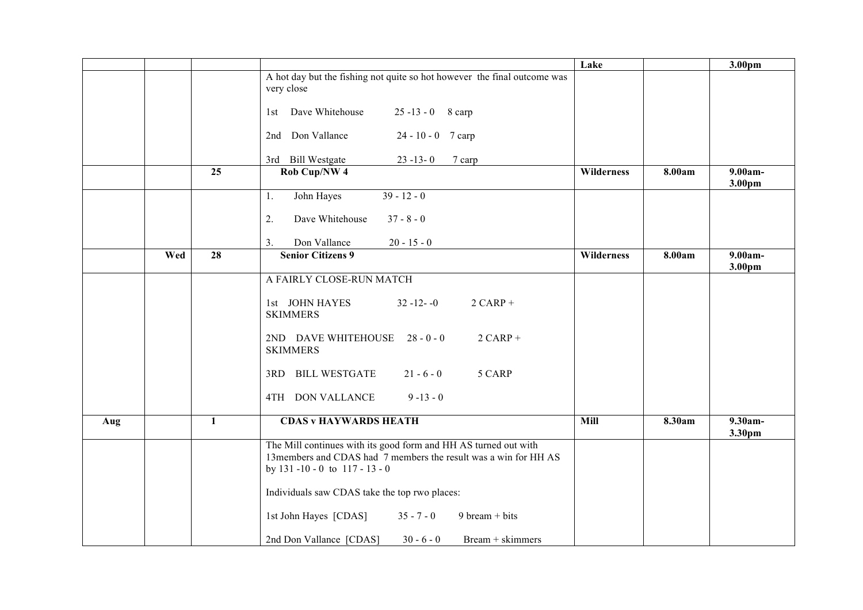|     |     |              |                                                                                                                                                                           | Lake       |        | 3.00pm                          |
|-----|-----|--------------|---------------------------------------------------------------------------------------------------------------------------------------------------------------------------|------------|--------|---------------------------------|
|     |     |              | A hot day but the fishing not quite so hot however the final outcome was<br>very close                                                                                    |            |        |                                 |
|     |     |              | 1st Dave Whitehouse<br>$25 - 13 - 0$ 8 carp                                                                                                                               |            |        |                                 |
|     |     |              | 2nd Don Vallance<br>$24 - 10 - 0$ 7 carp                                                                                                                                  |            |        |                                 |
|     |     |              | 3rd Bill Westgate<br>$23 - 13 - 0$<br>7 carp                                                                                                                              |            |        |                                 |
|     |     | 25           | Rob Cup/NW 4                                                                                                                                                              | Wilderness | 8.00am | 9.00am-<br>3.00pm               |
|     |     |              | John Hayes<br>$39 - 12 - 0$<br>1.                                                                                                                                         |            |        |                                 |
|     |     |              | 2.<br>Dave Whitehouse<br>$37 - 8 - 0$                                                                                                                                     |            |        |                                 |
|     |     |              | Don Vallance<br>3.<br>$20 - 15 - 0$                                                                                                                                       |            |        |                                 |
|     | Wed | 28           | <b>Senior Citizens 9</b>                                                                                                                                                  | Wilderness | 8.00am | $9.00$ am-<br>3.00pm            |
|     |     |              | A FAIRLY CLOSE-RUN MATCH                                                                                                                                                  |            |        |                                 |
|     |     |              | 1st JOHN HAYES<br>$32 - 12 - 0$<br>$2$ CARP +<br><b>SKIMMERS</b>                                                                                                          |            |        |                                 |
|     |     |              | 2ND DAVE WHITEHOUSE 28 - 0 - 0<br>$2$ CARP +<br><b>SKIMMERS</b>                                                                                                           |            |        |                                 |
|     |     |              | 3RD BILL WESTGATE<br>5 CARP<br>$21 - 6 - 0$                                                                                                                               |            |        |                                 |
|     |     |              | 4TH DON VALLANCE<br>$9 - 13 - 0$                                                                                                                                          |            |        |                                 |
| Aug |     | $\mathbf{1}$ | <b>CDAS v HAYWARDS HEATH</b>                                                                                                                                              | Mill       | 8.30am | $\overline{9.30}$ am-<br>3.30pm |
|     |     |              | The Mill continues with its good form and HH AS turned out with<br>13members and CDAS had 7 members the result was a win for HH AS<br>by $131 - 10 - 0$ to $117 - 13 - 0$ |            |        |                                 |
|     |     |              | Individuals saw CDAS take the top rwo places:                                                                                                                             |            |        |                                 |
|     |     |              | 1st John Hayes [CDAS]<br>$35 - 7 - 0$<br>$9 \text{ bream} + \text{bits}$                                                                                                  |            |        |                                 |
|     |     |              | 2nd Don Vallance [CDAS]<br>$30 - 6 - 0$<br>Bream + skimmers                                                                                                               |            |        |                                 |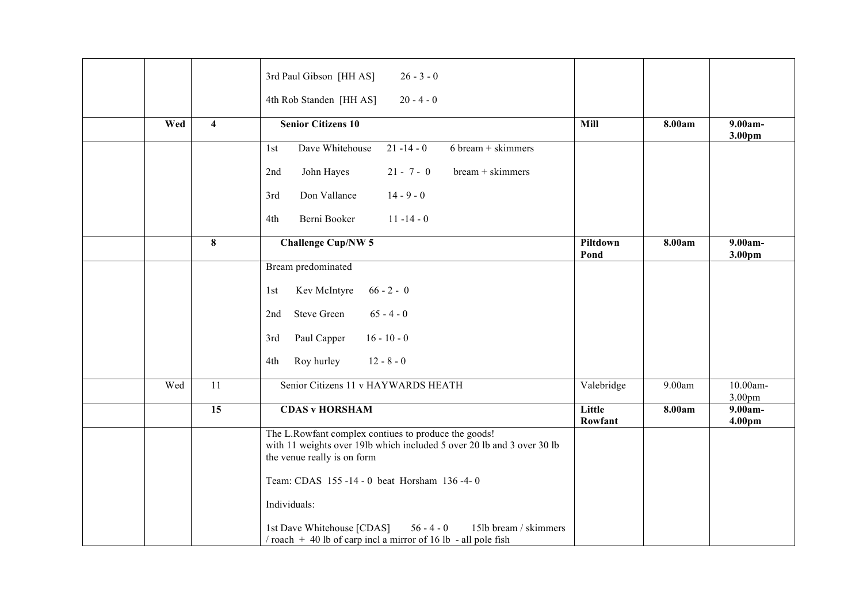|     |                         | 3rd Paul Gibson [HH AS]<br>$26 - 3 - 0$<br>4th Rob Standen [HH AS]<br>$20 - 4 - 0$                                                                            |                   |        |                                |
|-----|-------------------------|---------------------------------------------------------------------------------------------------------------------------------------------------------------|-------------------|--------|--------------------------------|
| Wed | $\overline{\mathbf{4}}$ | <b>Senior Citizens 10</b>                                                                                                                                     | Mill              | 8.00am | 9.00am-<br>3.00pm              |
|     |                         | Dave Whitehouse<br>$21 - 14 - 0$<br>$6 \text{ bream} + \text{skimmers}$<br>1st                                                                                |                   |        |                                |
|     |                         | John Hayes<br>$21 - 7 - 0$<br>bream + skimmers<br>2nd                                                                                                         |                   |        |                                |
|     |                         | $14 - 9 - 0$<br>Don Vallance<br>3rd                                                                                                                           |                   |        |                                |
|     |                         | Berni Booker<br>$11 - 14 - 0$<br>4th                                                                                                                          |                   |        |                                |
|     | 8                       | <b>Challenge Cup/NW 5</b>                                                                                                                                     | Piltdown<br>Pond  | 8.00am | $9.00am -$<br>3.00pm           |
|     |                         | Bream predominated                                                                                                                                            |                   |        |                                |
|     |                         | $66 - 2 - 0$<br>Kev McIntyre<br>1st                                                                                                                           |                   |        |                                |
|     |                         | <b>Steve Green</b><br>$65 - 4 - 0$<br>2nd                                                                                                                     |                   |        |                                |
|     |                         | Paul Capper<br>$16 - 10 - 0$<br>3rd                                                                                                                           |                   |        |                                |
|     |                         | Roy hurley<br>$12 - 8 - 0$<br>4th                                                                                                                             |                   |        |                                |
| Wed | 11                      | Senior Citizens 11 v HAYWARDS HEATH                                                                                                                           | Valebridge        | 9.00am | 10.00am-<br>3.00 <sub>pm</sub> |
|     | $\overline{15}$         | <b>CDAS v HORSHAM</b>                                                                                                                                         | Little<br>Rowfant | 8.00am | $9.00am -$<br>4.00pm           |
|     |                         | The L.Rowfant complex contiues to produce the goods!<br>with 11 weights over 19lb which included 5 over 20 lb and 3 over 30 lb<br>the venue really is on form |                   |        |                                |
|     |                         | Team: CDAS 155-14-0 beat Horsham 136-4-0                                                                                                                      |                   |        |                                |
|     |                         | Individuals:                                                                                                                                                  |                   |        |                                |
|     |                         | $56 - 4 - 0$<br>1st Dave Whitehouse [CDAS]<br>15lb bream / skimmers<br>$\frac{1}{2}$ roach + 40 lb of carp incl a mirror of 16 lb - all pole fish             |                   |        |                                |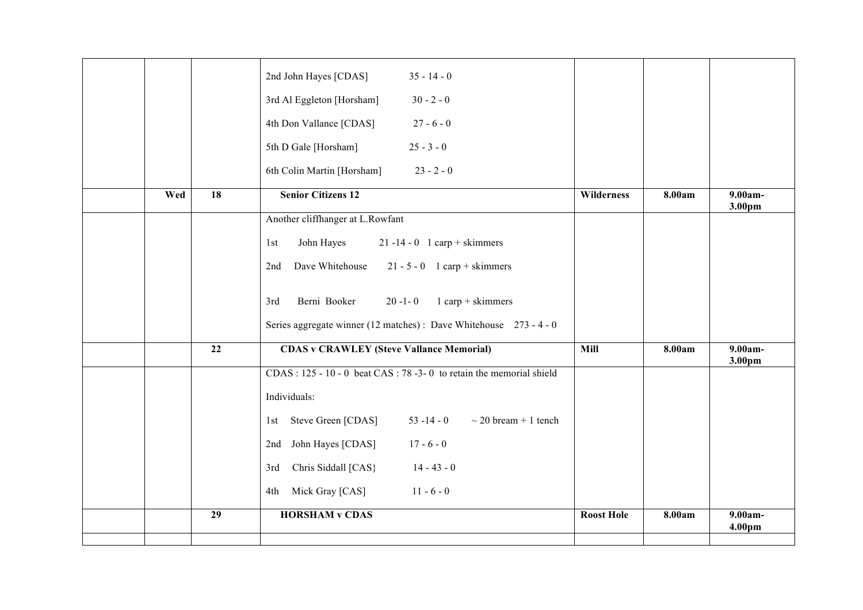|     |                 | 2nd John Hayes [CDAS]<br>$35 - 14 - 0$                                    |                   |        |                      |
|-----|-----------------|---------------------------------------------------------------------------|-------------------|--------|----------------------|
|     |                 | 3rd Al Eggleton [Horsham]<br>$30 - 2 - 0$                                 |                   |        |                      |
|     |                 | 4th Don Vallance [CDAS]<br>$27 - 6 - 0$                                   |                   |        |                      |
|     |                 | 5th D Gale [Horsham]<br>$25 - 3 - 0$                                      |                   |        |                      |
|     |                 | 6th Colin Martin [Horsham]<br>$23 - 2 - 0$                                |                   |        |                      |
| Wed | 18              | <b>Senior Citizens 12</b>                                                 | Wilderness        | 8.00am | 9.00am-<br>3.00pm    |
|     |                 | Another cliffhanger at L.Rowfant                                          |                   |        |                      |
|     |                 | John Hayes<br>$21 - 14 - 0$ 1 carp + skimmers<br>1st                      |                   |        |                      |
|     |                 | Dave Whitehouse<br>$21 - 5 - 0$ 1 carp + skimmers<br>2nd                  |                   |        |                      |
|     |                 | Berni Booker<br>$1$ carp + skimmers<br>$20 - 1 - 0$<br>3rd                |                   |        |                      |
|     |                 | Series aggregate winner (12 matches) : Dave Whitehouse 273 - 4 - 0        |                   |        |                      |
|     | $\overline{22}$ | <b>CDAS v CRAWLEY (Steve Vallance Memorial)</b>                           | Mill              | 8.00am | $9.00am -$<br>3.00pm |
|     |                 | $CDAS: 125 - 10 - 0$ beat $CAS: 78 - 3 - 0$ to retain the memorial shield |                   |        |                      |
|     |                 | Individuals:                                                              |                   |        |                      |
|     |                 | $53 - 14 - 0$<br>Steve Green [CDAS]<br>$\sim$ 20 bream + 1 tench<br>1st   |                   |        |                      |
|     |                 | $17 - 6 - 0$<br>John Hayes [CDAS]<br>2nd                                  |                   |        |                      |
|     |                 | Chris Siddall [CAS}<br>$14 - 43 - 0$<br>3rd                               |                   |        |                      |
|     |                 | Mick Gray [CAS]<br>$11 - 6 - 0$<br>4th                                    |                   |        |                      |
|     | 29              | <b>HORSHAM v CDAS</b>                                                     | <b>Roost Hole</b> | 8.00am | 9.00am-              |
|     |                 |                                                                           |                   |        | 4.00pm               |
|     |                 |                                                                           |                   |        |                      |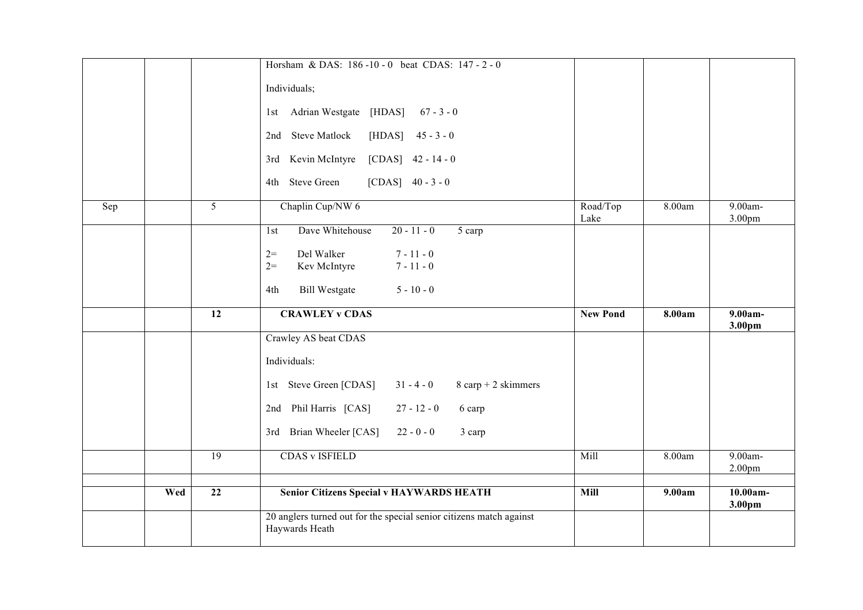|     |     |                 | Horsham & DAS: 186-10-0 beat CDAS: 147-2-0                                                                             |                  |        |                               |
|-----|-----|-----------------|------------------------------------------------------------------------------------------------------------------------|------------------|--------|-------------------------------|
|     |     |                 | Individuals;                                                                                                           |                  |        |                               |
|     |     |                 | 1st Adrian Westgate [HDAS] 67 - 3 - 0                                                                                  |                  |        |                               |
|     |     |                 | 2nd Steve Matlock<br>[HDAS]<br>$45 - 3 - 0$                                                                            |                  |        |                               |
|     |     |                 | 3rd Kevin McIntyre<br>$[CDAS]$ 42 - 14 - 0                                                                             |                  |        |                               |
|     |     |                 | 4th Steve Green<br>[CDAS] $40 - 3 - 0$                                                                                 |                  |        |                               |
| Sep |     | $\overline{5}$  | Chaplin Cup/NW 6                                                                                                       | Road/Top<br>Lake | 8.00am | 9.00am-<br>3.00 <sub>pm</sub> |
|     |     |                 | Dave Whitehouse<br>$20 - 11 - 0$<br>5 carp<br>1st                                                                      |                  |        |                               |
|     |     |                 | Del Walker<br>$7 - 11 - 0$<br>$2=$                                                                                     |                  |        |                               |
|     |     |                 | $2=$<br>Kev McIntyre<br>$7 - 11 - 0$                                                                                   |                  |        |                               |
|     |     |                 | $5 - 10 - 0$<br><b>Bill Westgate</b><br>4th                                                                            |                  |        |                               |
|     |     |                 |                                                                                                                        |                  |        |                               |
|     |     | $\overline{12}$ | <b>CRAWLEY v CDAS</b>                                                                                                  | <b>New Pond</b>  | 8.00am | 9.00am-<br>3.00pm             |
|     |     |                 | Crawley AS beat CDAS                                                                                                   |                  |        |                               |
|     |     |                 | Individuals:                                                                                                           |                  |        |                               |
|     |     |                 | 1st Steve Green [CDAS]<br>$31 - 4 - 0$<br>$8 \text{ carp} + 2 \text{ skimmers}$                                        |                  |        |                               |
|     |     |                 | 2nd Phil Harris [CAS]<br>$27 - 12 - 0$<br>6 carp                                                                       |                  |        |                               |
|     |     |                 | 3rd Brian Wheeler [CAS]<br>$22 - 0 - 0$<br>3 carp                                                                      |                  |        |                               |
|     |     | 19              | <b>CDAS v ISFIELD</b>                                                                                                  | Mill             | 8.00am | 9.00am-<br>2.00pm             |
|     |     |                 |                                                                                                                        |                  |        |                               |
|     | Wed | $\overline{22}$ | <b>Senior Citizens Special v HAYWARDS HEATH</b><br>20 anglers turned out for the special senior citizens match against | Mill             | 9.00am | $10.00am -$<br>3.00pm         |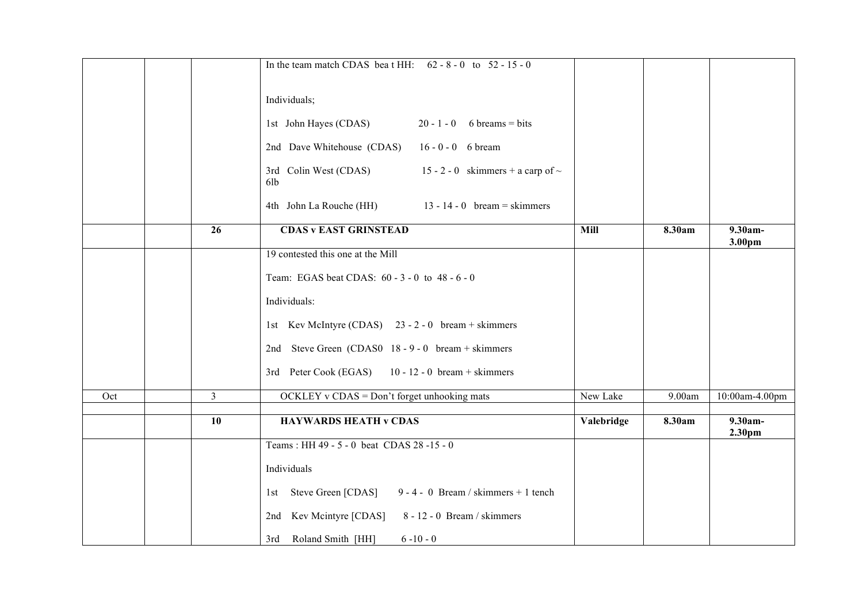|     |                 | In the team match CDAS beat HH: $62 - 8 - 0$ to $52 - 15 - 0$          |            |        |                      |
|-----|-----------------|------------------------------------------------------------------------|------------|--------|----------------------|
|     |                 |                                                                        |            |        |                      |
|     |                 | Individuals;                                                           |            |        |                      |
|     |                 | 1st John Hayes (CDAS)<br>$20 - 1 - 0$ 6 breams = bits                  |            |        |                      |
|     |                 | 2nd Dave Whitehouse (CDAS) 16 - 0 - 0 6 bream                          |            |        |                      |
|     |                 | 15 - 2 - 0 skimmers + a carp of $\sim$<br>3rd Colin West (CDAS)<br>6lb |            |        |                      |
|     |                 | 4th John La Rouche (HH) 13 - 14 - 0 bream = skimmers                   |            |        |                      |
|     | $\overline{26}$ | <b>CDAS v EAST GRINSTEAD</b>                                           | Mill       | 8.30am | $9.30am -$<br>3.00pm |
|     |                 | 19 contested this one at the Mill                                      |            |        |                      |
|     |                 | Team: EGAS beat CDAS: 60 - 3 - 0 to 48 - 6 - 0                         |            |        |                      |
|     |                 | Individuals:                                                           |            |        |                      |
|     |                 | 1st Kev McIntyre (CDAS) 23 - 2 - 0 bream + skimmers                    |            |        |                      |
|     |                 | 2nd Steve Green (CDAS0 18 - 9 - 0 bream + skimmers                     |            |        |                      |
|     |                 | $10 - 12 - 0$ bream + skimmers<br>3rd Peter Cook (EGAS)                |            |        |                      |
| Oct | $\overline{3}$  | $OCKLEY$ v $CDAS = Don't forget unhooking$ mats                        | New Lake   | 9.00am | 10:00am-4.00pm       |
|     |                 |                                                                        |            |        |                      |
|     | 10              | <b>HAYWARDS HEATH v CDAS</b>                                           | Valebridge | 8.30am | $9.30am -$<br>2.30pm |
|     |                 | Teams: HH 49 - 5 - 0 beat CDAS 28 -15 - 0                              |            |        |                      |
|     |                 | Individuals                                                            |            |        |                      |
|     |                 | 1st Steve Green [CDAS] 9 - 4 - 0 Bream / skimmers + 1 tench            |            |        |                      |
|     |                 | 8 - 12 - 0 Bream / skimmers<br>2nd Kev Mcintyre [CDAS]                 |            |        |                      |
|     |                 | 3rd Roland Smith [HH]<br>$6 - 10 - 0$                                  |            |        |                      |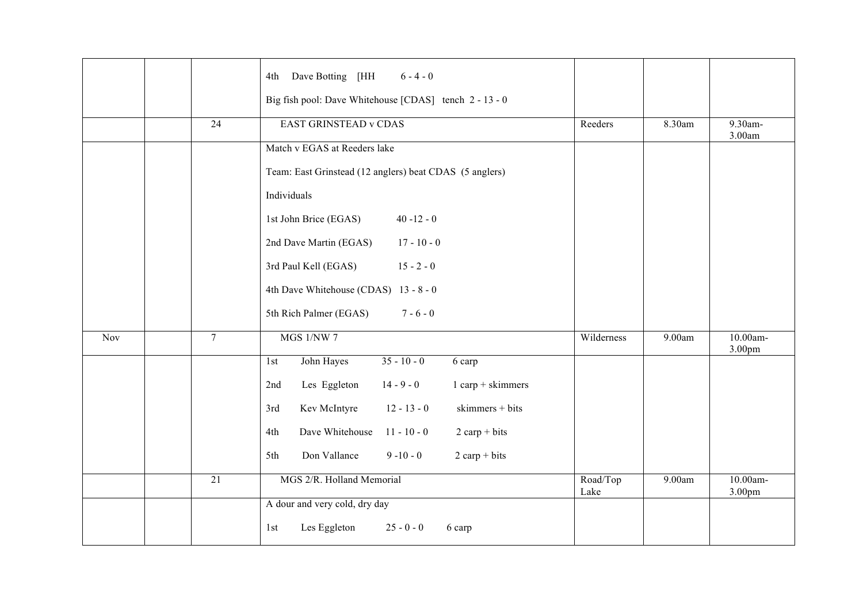|     |                 | Dave Botting [HH<br>$6 - 4 - 0$<br>4th<br>Big fish pool: Dave Whitehouse [CDAS] tench 2 - 13 - 0 |                  |        |                    |
|-----|-----------------|--------------------------------------------------------------------------------------------------|------------------|--------|--------------------|
|     | 24              | <b>EAST GRINSTEAD v CDAS</b>                                                                     | Reeders          | 8.30am | 9.30am-<br>3.00am  |
|     |                 | Match v EGAS at Reeders lake                                                                     |                  |        |                    |
|     |                 | Team: East Grinstead (12 anglers) beat CDAS (5 anglers)                                          |                  |        |                    |
|     |                 | Individuals                                                                                      |                  |        |                    |
|     |                 | 1st John Brice (EGAS)<br>$40 - 12 - 0$                                                           |                  |        |                    |
|     |                 | 2nd Dave Martin (EGAS)<br>$17 - 10 - 0$                                                          |                  |        |                    |
|     |                 | 3rd Paul Kell (EGAS)<br>$15 - 2 - 0$                                                             |                  |        |                    |
|     |                 | 4th Dave Whitehouse (CDAS) 13 - 8 - 0                                                            |                  |        |                    |
|     |                 | 5th Rich Palmer (EGAS)<br>$7 - 6 - 0$                                                            |                  |        |                    |
| Nov | $7\overline{ }$ | <b>MGS 1/NW 7</b>                                                                                | Wilderness       | 9.00am | 10.00am-<br>3.00pm |
|     |                 | $35 - 10 - 0$<br>John Hayes<br>6 carp<br>1st                                                     |                  |        |                    |
|     |                 | $1$ carp + skimmers<br>Les Eggleton<br>$14 - 9 - 0$<br>2nd                                       |                  |        |                    |
|     |                 | $12 - 13 - 0$<br>skimmers + bits<br>Kev McIntyre<br>3rd                                          |                  |        |                    |
|     |                 | Dave Whitehouse<br>$11 - 10 - 0$<br>$2$ carp + bits<br>4th                                       |                  |        |                    |
|     |                 | Don Vallance<br>$9 - 10 - 0$<br>$2 \text{ carp} + \text{bits}$<br>5th                            |                  |        |                    |
|     | $\overline{21}$ | MGS 2/R. Holland Memorial                                                                        | Road/Top<br>Lake | 9.00am | 10.00am-<br>3.00pm |
|     |                 | A dour and very cold, dry day                                                                    |                  |        |                    |
|     |                 | Les Eggleton<br>$25 - 0 - 0$<br>1st<br>6 carp                                                    |                  |        |                    |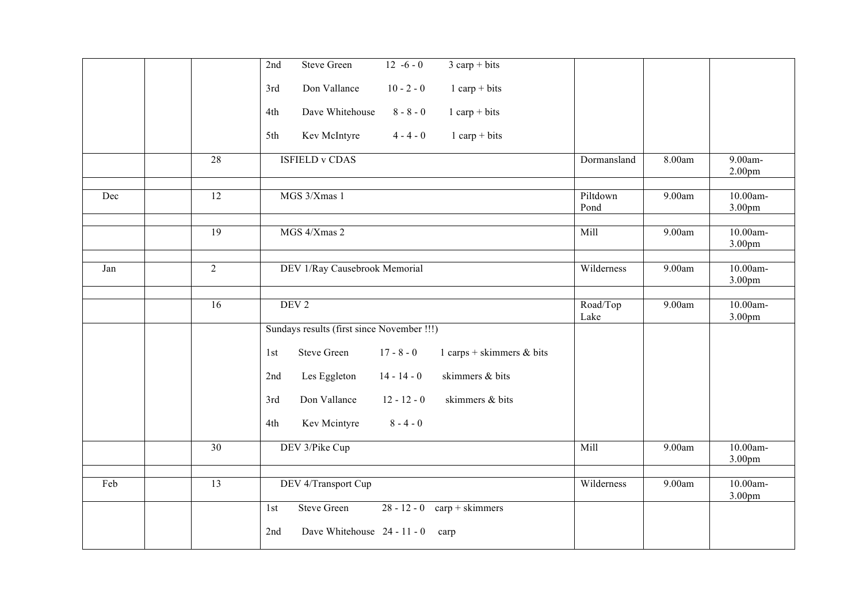|     |                 | <b>Steve Green</b><br>$12 - 6 - 0$<br>$3 \text{ carp} + \text{bits}$<br>2nd |                  |        |                               |
|-----|-----------------|-----------------------------------------------------------------------------|------------------|--------|-------------------------------|
|     |                 | $10 - 2 - 0$<br>$1$ carp + bits<br>Don Vallance<br>3rd                      |                  |        |                               |
|     |                 | Dave Whitehouse<br>$8 - 8 - 0$<br>$1$ carp + bits<br>4th                    |                  |        |                               |
|     |                 | $4 - 4 - 0$<br>Kev McIntyre<br>$1$ carp + bits<br>5th                       |                  |        |                               |
|     | $\overline{28}$ | <b>ISFIELD v CDAS</b>                                                       | Dormansland      | 8.00am | 9.00am-<br>2.00 <sub>pm</sub> |
| Dec | 12              | MGS 3/Xmas 1                                                                | Piltdown<br>Pond | 9.00am | 10.00am-<br>3.00pm            |
|     | 19              | MGS 4/Xmas 2                                                                | Mill             | 9.00am | 10.00am-<br>3.00pm            |
| Jan | $\overline{2}$  | DEV 1/Ray Causebrook Memorial                                               | Wilderness       | 9.00am | 10.00am-<br>3.00pm            |
|     | $\overline{16}$ | DEV <sub>2</sub>                                                            | Road/Top<br>Lake | 9.00am | 10.00am-<br>3.00pm            |
|     |                 | Sundays results (first since November !!!)                                  |                  |        |                               |
|     |                 | Steve Green<br>$17 - 8 - 0$<br>1 carps + skimmers $\&$ bits<br>1st          |                  |        |                               |
|     |                 | skimmers & bits<br>Les Eggleton<br>$14 - 14 - 0$<br>2nd                     |                  |        |                               |
|     |                 | Don Vallance<br>$12 - 12 - 0$<br>skimmers & bits<br>3rd                     |                  |        |                               |
|     |                 | $8 - 4 - 0$<br>Kev Mcintyre<br>4th                                          |                  |        |                               |
|     | 30              | DEV 3/Pike Cup                                                              | Mill             | 9.00am | 10.00am-<br>3.00pm            |
| Feb | 13              | DEV 4/Transport Cup                                                         | Wilderness       | 9.00am | 10.00am-<br>3.00pm            |
|     |                 | <b>Steve Green</b><br>$28 - 12 - 0$ carp + skimmers<br>1st                  |                  |        |                               |
|     |                 | Dave Whitehouse 24 - 11 - 0<br>2nd<br>carp                                  |                  |        |                               |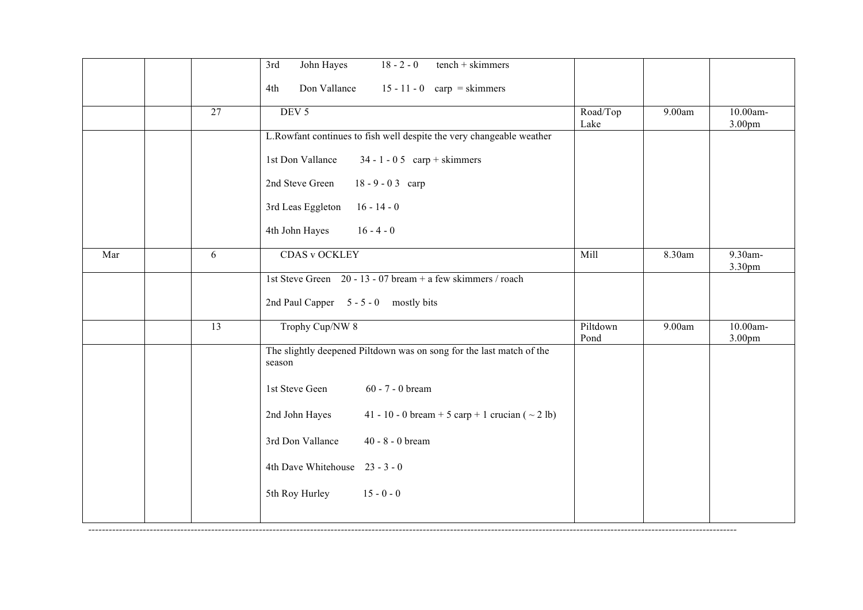|     |                 | $18 - 2 - 0$<br>$tench + skimmers$<br>John Hayes<br>3rd                        |                  |        |                    |
|-----|-----------------|--------------------------------------------------------------------------------|------------------|--------|--------------------|
|     |                 | Don Vallance<br>$15 - 11 - 0$ carp = skimmers<br>4th                           |                  |        |                    |
|     | 27              | DEV <sub>5</sub>                                                               | Road/Top<br>Lake | 9.00am | 10.00am-<br>3.00pm |
|     |                 | L.Rowfant continues to fish well despite the very changeable weather           |                  |        |                    |
|     |                 | 1st Don Vallance<br>$34 - 1 - 05$ carp + skimmers                              |                  |        |                    |
|     |                 | 2nd Steve Green<br>$18 - 9 - 03$ carp                                          |                  |        |                    |
|     |                 | $16 - 14 - 0$<br>3rd Leas Eggleton                                             |                  |        |                    |
|     |                 | $16 - 4 - 0$<br>4th John Hayes                                                 |                  |        |                    |
| Mar | 6               | <b>CDAS v OCKLEY</b>                                                           | Mill             | 8.30am | 9.30am-<br>3.30pm  |
|     |                 | 1st Steve Green 20 - 13 - 07 bream + a few skimmers / roach                    |                  |        |                    |
|     |                 | 2nd Paul Capper 5 - 5 - 0 mostly bits                                          |                  |        |                    |
|     | $\overline{13}$ | Trophy Cup/NW 8                                                                | Piltdown<br>Pond | 9.00am | 10.00am-<br>3.00pm |
|     |                 | The slightly deepened Piltdown was on song for the last match of the<br>season |                  |        |                    |
|     |                 | 1st Steve Geen<br>60 - 7 - 0 bream                                             |                  |        |                    |
|     |                 | 2nd John Hayes<br>41 - 10 - 0 bream + 5 carp + 1 crucian ( $\sim$ 2 lb)        |                  |        |                    |
|     |                 | 3rd Don Vallance<br>40 - $8 - 0$ bream                                         |                  |        |                    |
|     |                 | 4th Dave Whitehouse 23 - 3 - 0                                                 |                  |        |                    |
|     |                 | 5th Roy Hurley 15 - 0 - 0                                                      |                  |        |                    |
|     |                 |                                                                                |                  |        |                    |